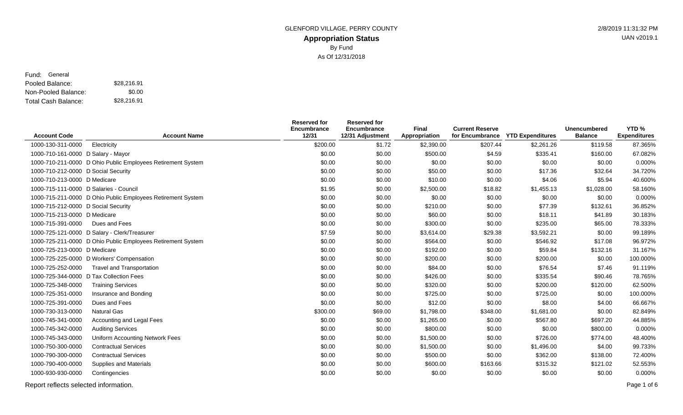#### **Appropriation Status** GLENFORD VILLAGE, PERRY COUNTY **2/8/2019 11:31:32 PM** By Fund As Of 12/31/2018

Pooled Balance: \$28,216.91 Non-Pooled Balance: Total Cash Balance: Fund: General \$0.00 \$28,216.91

|                                        |                                                             | <b>Reserved for</b><br>Encumbrance | <b>Reserved for</b><br>Encumbrance | Final         | <b>Current Reserve</b> |                                  | <b>Unencumbered</b> | YTD <sub>%</sub>    |
|----------------------------------------|-------------------------------------------------------------|------------------------------------|------------------------------------|---------------|------------------------|----------------------------------|---------------------|---------------------|
| <b>Account Code</b>                    | <b>Account Name</b>                                         | 12/31                              | 12/31 Adjustment                   | Appropriation |                        | for Encumbrance YTD Expenditures | <b>Balance</b>      | <b>Expenditures</b> |
| 1000-130-311-0000                      | Electricity                                                 | \$200.00                           | \$1.72                             | \$2,390.00    | \$207.44               | \$2,261.26                       | \$119.58            | 87.365%             |
| 1000-710-161-0000 D Salary - Mayor     |                                                             | \$0.00                             | \$0.00                             | \$500.00      | \$4.59                 | \$335.41                         | \$160.00            | 67.082%             |
|                                        | 1000-710-211-0000 D Ohio Public Employees Retirement System | \$0.00                             | \$0.00                             | \$0.00        | \$0.00                 | \$0.00                           | \$0.00              | 0.000%              |
| 1000-710-212-0000 D Social Security    |                                                             | \$0.00                             | \$0.00                             | \$50.00       | \$0.00                 | \$17.36                          | \$32.64             | 34.720%             |
| 1000-710-213-0000 D Medicare           |                                                             | \$0.00                             | \$0.00                             | \$10.00       | \$0.00                 | \$4.06                           | \$5.94              | 40.600%             |
| 1000-715-111-0000 D Salaries - Council |                                                             | \$1.95                             | \$0.00                             | \$2,500.00    | \$18.82                | \$1,455.13                       | \$1,028.00          | 58.160%             |
|                                        | 1000-715-211-0000 D Ohio Public Employees Retirement System | \$0.00                             | \$0.00                             | \$0.00        | \$0.00                 | \$0.00                           | \$0.00              | 0.000%              |
| 1000-715-212-0000 D Social Security    |                                                             | \$0.00                             | \$0.00                             | \$210.00      | \$0.00                 | \$77.39                          | \$132.61            | 36.852%             |
| 1000-715-213-0000 D Medicare           |                                                             | \$0.00                             | \$0.00                             | \$60.00       | \$0.00                 | \$18.11                          | \$41.89             | 30.183%             |
| 1000-715-391-0000                      | Dues and Fees                                               | \$0.00                             | \$0.00                             | \$300.00      | \$0.00                 | \$235.00                         | \$65.00             | 78.333%             |
|                                        | 1000-725-121-0000 D Salary - Clerk/Treasurer                | \$7.59                             | \$0.00                             | \$3,614.00    | \$29.38                | \$3,592.21                       | \$0.00              | 99.189%             |
|                                        | 1000-725-211-0000 D Ohio Public Employees Retirement System | \$0.00                             | \$0.00                             | \$564.00      | \$0.00                 | \$546.92                         | \$17.08             | 96.972%             |
| 1000-725-213-0000 D Medicare           |                                                             | \$0.00                             | \$0.00                             | \$192.00      | \$0.00                 | \$59.84                          | \$132.16            | 31.167%             |
|                                        | 1000-725-225-0000 D Workers' Compensation                   | \$0.00                             | \$0.00                             | \$200.00      | \$0.00                 | \$200.00                         | \$0.00              | 100.000%            |
| 1000-725-252-0000                      | <b>Travel and Transportation</b>                            | \$0.00                             | \$0.00                             | \$84.00       | \$0.00                 | \$76.54                          | \$7.46              | 91.119%             |
|                                        | 1000-725-344-0000 D Tax Collection Fees                     | \$0.00                             | \$0.00                             | \$426.00      | \$0.00                 | \$335.54                         | \$90.46             | 78.765%             |
| 1000-725-348-0000                      | <b>Training Services</b>                                    | \$0.00                             | \$0.00                             | \$320.00      | \$0.00                 | \$200.00                         | \$120.00            | 62.500%             |
| 1000-725-351-0000                      | Insurance and Bonding                                       | \$0.00                             | \$0.00                             | \$725.00      | \$0.00                 | \$725.00                         | \$0.00              | 100.000%            |
| 1000-725-391-0000                      | Dues and Fees                                               | \$0.00                             | \$0.00                             | \$12.00       | \$0.00                 | \$8.00                           | \$4.00              | 66.667%             |
| 1000-730-313-0000                      | <b>Natural Gas</b>                                          | \$300.00                           | \$69.00                            | \$1,798.00    | \$348.00               | \$1,681.00                       | \$0.00              | 82.849%             |
| 1000-745-341-0000                      | Accounting and Legal Fees                                   | \$0.00                             | \$0.00                             | \$1,265.00    | \$0.00                 | \$567.80                         | \$697.20            | 44.885%             |
| 1000-745-342-0000                      | <b>Auditing Services</b>                                    | \$0.00                             | \$0.00                             | \$800.00      | \$0.00                 | \$0.00                           | \$800.00            | 0.000%              |
| 1000-745-343-0000                      | Uniform Accounting Network Fees                             | \$0.00                             | \$0.00                             | \$1,500.00    | \$0.00                 | \$726.00                         | \$774.00            | 48.400%             |
| 1000-750-300-0000                      | <b>Contractual Services</b>                                 | \$0.00                             | \$0.00                             | \$1,500.00    | \$0.00                 | \$1,496.00                       | \$4.00              | 99.733%             |
| 1000-790-300-0000                      | <b>Contractual Services</b>                                 | \$0.00                             | \$0.00                             | \$500.00      | \$0.00                 | \$362.00                         | \$138.00            | 72.400%             |
| 1000-790-400-0000                      | <b>Supplies and Materials</b>                               | \$0.00                             | \$0.00                             | \$600.00      | \$163.66               | \$315.32                         | \$121.02            | 52.553%             |
| 1000-930-930-0000                      | Contingencies                                               | \$0.00                             | \$0.00                             | \$0.00        | \$0.00                 | \$0.00                           | \$0.00              | 0.000%              |
|                                        |                                                             |                                    |                                    |               |                        |                                  |                     |                     |

Report reflects selected information. Page 1 of 6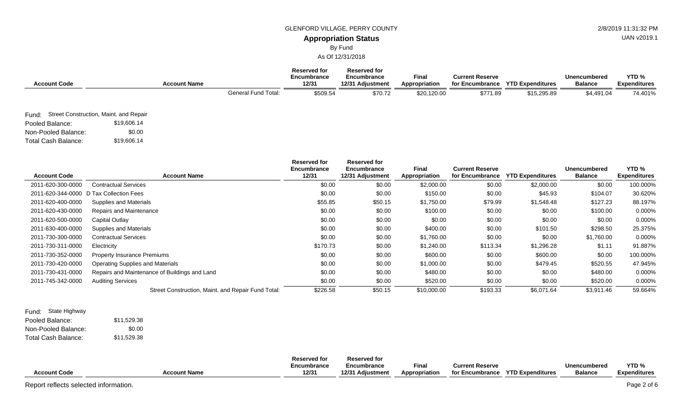#### GLENFORD VILLAGE, PERRY COUNTY **1998** 2/8/2019 11:31:32 PM

## **Appropriation Status**

By Fund

As Of 12/31/2018

| <b>Account Code</b>        |                                              | <b>Account Name</b> |                            | <b>Reserved for</b><br>Encumbrance<br>12/31 | <b>Reserved for</b><br>Encumbrance<br>12/31 Adjustment | <b>Final</b><br>Appropriation | <b>Current Reserve</b><br>for Encumbrance | <b>YTD Expenditures</b> | <b>Unencumbered</b><br><b>Balance</b> | YTD <sub>%</sub><br><b>Expenditures</b> |
|----------------------------|----------------------------------------------|---------------------|----------------------------|---------------------------------------------|--------------------------------------------------------|-------------------------------|-------------------------------------------|-------------------------|---------------------------------------|-----------------------------------------|
|                            |                                              |                     | <b>General Fund Total:</b> | \$509.54                                    | \$70.72                                                | \$20,120.00                   | \$771.89                                  | \$15,295.89             | \$4,491.04                            | 74.401%                                 |
|                            | Fund: Street Construction, Maint. and Repair |                     |                            |                                             |                                                        |                               |                                           |                         |                                       |                                         |
| Pooled Balance:            | \$19,606.14                                  |                     |                            |                                             |                                                        |                               |                                           |                         |                                       |                                         |
| Non-Pooled Balance:        | \$0.00                                       |                     |                            |                                             |                                                        |                               |                                           |                         |                                       |                                         |
| <b>Total Cash Balance:</b> | \$19,606.14                                  |                     |                            |                                             |                                                        |                               |                                           |                         |                                       |                                         |

| <b>Account Code</b> | <b>Account Name</b>                                | <b>Reserved for</b><br>Encumbrance<br>12/31 | <b>Reserved for</b><br>Encumbrance<br>12/31 Adjustment | <b>Final</b><br>Appropriation | <b>Current Reserve</b><br>for Encumbrance | <b>YTD Expenditures</b> | Unencumbered<br><b>Balance</b> | YTD %<br><b>Expenditures</b> |
|---------------------|----------------------------------------------------|---------------------------------------------|--------------------------------------------------------|-------------------------------|-------------------------------------------|-------------------------|--------------------------------|------------------------------|
| 2011-620-300-0000   | <b>Contractual Services</b>                        | \$0.00                                      | \$0.00                                                 | \$2,000.00                    | \$0.00                                    | \$2,000.00              | \$0.00                         | 100.000%                     |
|                     | 2011-620-344-0000 D Tax Collection Fees            | \$0.00                                      | \$0.00                                                 | \$150.00                      | \$0.00                                    | \$45.93                 | \$104.07                       | 30.620%                      |
| 2011-620-400-0000   | Supplies and Materials                             | \$55.85                                     | \$50.15                                                | \$1,750.00                    | \$79.99                                   | \$1,548.48              | \$127.23                       | 88.197%                      |
| 2011-620-430-0000   | Repairs and Maintenance                            | \$0.00                                      | \$0.00                                                 | \$100.00                      | \$0.00                                    | \$0.00                  | \$100.00                       | $0.000\%$                    |
| 2011-620-500-0000   | Capital Outlay                                     | \$0.00                                      | \$0.00                                                 | \$0.00                        | \$0.00                                    | \$0.00                  | \$0.00                         | 0.000%                       |
| 2011-630-400-0000   | Supplies and Materials                             | \$0.00                                      | \$0.00                                                 | \$400.00                      | \$0.00                                    | \$101.50                | \$298.50                       | 25.375%                      |
| 2011-730-300-0000   | <b>Contractual Services</b>                        | \$0.00                                      | \$0.00                                                 | \$1,760.00                    | \$0.00                                    | \$0.00                  | \$1,760.00                     | 0.000%                       |
| 2011-730-311-0000   | Electricity                                        | \$170.73                                    | \$0.00                                                 | \$1,240.00                    | \$113.34                                  | \$1,296.28              | \$1.11                         | 91.887%                      |
| 2011-730-352-0000   | <b>Property Insurance Premiums</b>                 | \$0.00                                      | \$0.00                                                 | \$600.00                      | \$0.00                                    | \$600.00                | \$0.00                         | 100.000%                     |
| 2011-730-420-0000   | <b>Operating Supplies and Materials</b>            | \$0.00                                      | \$0.00                                                 | \$1,000.00                    | \$0.00                                    | \$479.45                | \$520.55                       | 47.945%                      |
| 2011-730-431-0000   | Repairs and Maintenance of Buildings and Land      | \$0.00                                      | \$0.00                                                 | \$480.00                      | \$0.00                                    | \$0.00                  | \$480.00                       | $0.000\%$                    |
| 2011-745-342-0000   | <b>Auditing Services</b>                           | \$0.00                                      | \$0.00                                                 | \$520.00                      | \$0.00                                    | \$0.00                  | \$520.00                       | $0.000\%$                    |
|                     | Street Construction, Maint. and Repair Fund Total: | \$226.58                                    | \$50.15                                                | \$10,000.00                   | \$193.33                                  | \$6,071.64              | \$3,911.46                     | 59.664%                      |

| Fund: State Highway |             |
|---------------------|-------------|
| Pooled Balance:     | \$11.529.38 |
| Non-Pooled Balance: | \$0.00      |
| Total Cash Balance: | \$11.529.38 |

|                     |                     | Reserved for | <b>Reserved for</b> |               |                        |                         |                |                     |
|---------------------|---------------------|--------------|---------------------|---------------|------------------------|-------------------------|----------------|---------------------|
|                     |                     | Encumbrance  | Encumbrance         | Fina          | <b>Current Reserve</b> |                         | Unencumbered   | YTD <sub>%</sub>    |
| <b>Account Code</b> | <b>Account Name</b> | 12/31        | 12/31 Adiustment    | Appropriation | for Encumbrance        | <b>YTD Expenditures</b> | <b>Balance</b> | <b>Expenditures</b> |

UAN v2019.1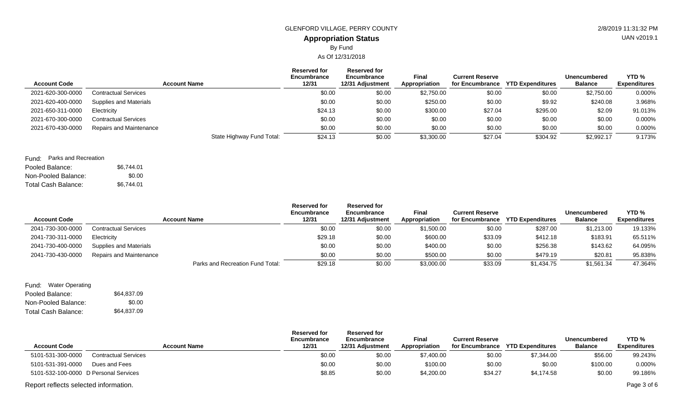# **Appropriation Status** GLENFORD VILLAGE, PERRY COUNTY **2/8/2019 11:31:32 PM**

## By Fund

As Of 12/31/2018

| <b>Account Code</b> | <b>Account Name</b>           | <b>Reserved for</b><br>Encumbrance<br>12/31 | Reserved for<br>Encumbrance<br>12/31 Adjustment | Final<br>Appropriation | <b>Current Reserve</b> | for Encumbrance YTD Expenditures | Unencumbered<br><b>Balance</b> | YTD <sub>%</sub><br><b>Expenditures</b> |
|---------------------|-------------------------------|---------------------------------------------|-------------------------------------------------|------------------------|------------------------|----------------------------------|--------------------------------|-----------------------------------------|
| 2021-620-300-0000   | <b>Contractual Services</b>   | \$0.00                                      | \$0.00                                          | \$2,750.00             | \$0.00                 | \$0.00                           | \$2,750.00                     | 0.000%                                  |
| 2021-620-400-0000   | <b>Supplies and Materials</b> | \$0.00                                      | \$0.00                                          | \$250.00               | \$0.00                 | \$9.92                           | \$240.08                       | 3.968%                                  |
| 2021-650-311-0000   | Electricity                   | \$24.13                                     | \$0.00                                          | \$300.00               | \$27.04                | \$295.00                         | \$2.09                         | 91.013%                                 |
| 2021-670-300-0000   | <b>Contractual Services</b>   | \$0.00                                      | \$0.00                                          | \$0.00                 | \$0.00                 | \$0.00                           | \$0.00                         | 0.000%                                  |
| 2021-670-430-0000   | Repairs and Maintenance       | \$0.00                                      | \$0.00                                          | \$0.00                 | \$0.00                 | \$0.00                           | \$0.00                         | 0.000%                                  |
|                     |                               | State Highway Fund Total:<br>\$24.13        | \$0.00                                          | \$3,300.00             | \$27.04                | \$304.92                         | \$2,992.17                     | 9.173%                                  |
|                     |                               |                                             |                                                 |                        |                        |                                  |                                |                                         |

#### Fund: Parks and Recreation

| Pooled Balance:     | \$6.744.01 |
|---------------------|------------|
| Non-Pooled Balance: | \$0.00     |
| Total Cash Balance: | \$6.744.01 |

| <b>Account Code</b> | <b>Account Name</b>              | <b>Reserved for</b><br>Encumbrance<br>12/31 | <b>Reserved for</b><br>Encumbrance<br>12/31 Adiustment | <b>Final</b><br><b>Appropriation</b> | <b>Current Reserve</b><br>for Encumbrance | <b>YTD Expenditures</b> | Unencumbered<br><b>Balance</b> | YTD <sub>%</sub><br><b>Expenditures</b> |
|---------------------|----------------------------------|---------------------------------------------|--------------------------------------------------------|--------------------------------------|-------------------------------------------|-------------------------|--------------------------------|-----------------------------------------|
| 2041-730-300-0000   | <b>Contractual Services</b>      | \$0.00                                      | \$0.00                                                 | \$1,500.00                           | \$0.00                                    | \$287.00                | \$1,213.00                     | 19.133%                                 |
| 2041-730-311-0000   | Electricity                      | \$29.18                                     | \$0.00                                                 | \$600.00                             | \$33.09                                   | \$412.18                | \$183.91                       | 65.511%                                 |
| 2041-730-400-0000   | Supplies and Materials           | \$0.00                                      | \$0.00                                                 | \$400.00                             | \$0.00                                    | \$256.38                | \$143.62                       | 64.095%                                 |
| 2041-730-430-0000   | <b>Repairs and Maintenance</b>   | \$0.00                                      | \$0.00                                                 | \$500.00                             | \$0.00                                    | \$479.19                | \$20.81                        | 95.838%                                 |
|                     | Parks and Recreation Fund Total: | \$29.18                                     | \$0.00                                                 | \$3,000.00                           | \$33.09                                   | \$1,434.75              | \$1,561.34                     | 47.364%                                 |

#### Pooled Balance: \$64,837.09 Non-Pooled Balance: Total Cash Balance: Fund: Water Operating \$0.00 \$64,837.09

| <b>Account Code</b>                   | <b>Account Name</b>         | <b>Reserved for</b><br>Encumbrance<br>12/31 | <b>Reserved for</b><br>Encumbrance<br>12/31 Adjustment | Final<br>Appropriation | <b>Current Reserve</b><br>for Encumbrance | <b>YTD Expenditures</b> | Unencumbered<br><b>Balance</b> | YTD <sub>%</sub><br><b>Expenditures</b> |
|---------------------------------------|-----------------------------|---------------------------------------------|--------------------------------------------------------|------------------------|-------------------------------------------|-------------------------|--------------------------------|-----------------------------------------|
| 5101-531-300-0000                     | <b>Contractual Services</b> | \$0.00                                      | \$0.00                                                 | \$7,400.00             | \$0.00                                    | \$7,344.00              | \$56.00                        | 99.243%                                 |
| 5101-531-391-0000                     | Dues and Fees               | \$0.00                                      | \$0.00                                                 | \$100.00               | \$0.00                                    | \$0.00                  | \$100.00                       | 0.000%                                  |
| 5101-532-100-0000 D Personal Services |                             | \$8.85                                      | \$0.00                                                 | \$4,200.00             | \$34.27                                   | \$4,174.58              | \$0.00                         | 99.186%                                 |
| Report reflects selected information. |                             |                                             |                                                        |                        |                                           |                         |                                | Page 3 of 6                             |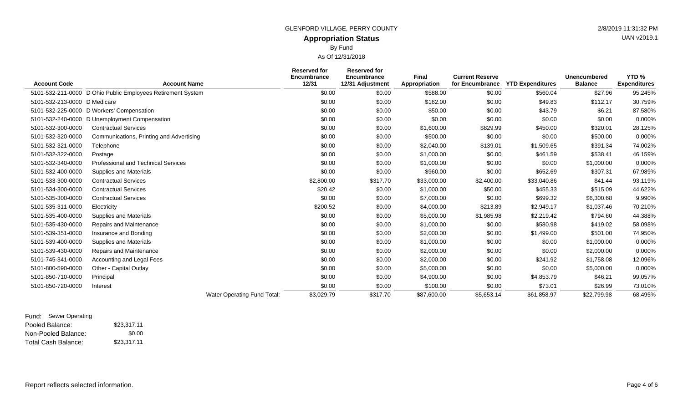## **Appropriation Status** GLENFORD VILLAGE, PERRY COUNTY **2/8/2019 11:31:32 PM**

By Fund

As Of 12/31/2018

| <b>Account Code</b>          | <b>Account Name</b>                                         |                             | <b>Reserved for</b><br>Encumbrance<br>12/31 | <b>Reserved for</b><br>Encumbrance<br>12/31 Adjustment | Final<br>Appropriation | <b>Current Reserve</b> | for Encumbrance YTD Expenditures | <b>Unencumbered</b><br><b>Balance</b> | YTD %<br><b>Expenditures</b> |
|------------------------------|-------------------------------------------------------------|-----------------------------|---------------------------------------------|--------------------------------------------------------|------------------------|------------------------|----------------------------------|---------------------------------------|------------------------------|
|                              | 5101-532-211-0000 D Ohio Public Employees Retirement System |                             | \$0.00                                      | \$0.00                                                 | \$588.00               | \$0.00                 | \$560.04                         | \$27.96                               | 95.245%                      |
| 5101-532-213-0000 D Medicare |                                                             |                             | \$0.00                                      | \$0.00                                                 | \$162.00               | \$0.00                 | \$49.83                          | \$112.17                              | 30.759%                      |
|                              | 5101-532-225-0000 D Workers' Compensation                   |                             | \$0.00                                      | \$0.00                                                 | \$50.00                | \$0.00                 | \$43.79                          | \$6.21                                | 87.580%                      |
| 5101-532-240-0000            | D Unemployment Compensation                                 |                             | \$0.00                                      | \$0.00                                                 | \$0.00                 | \$0.00                 | \$0.00                           | \$0.00                                | 0.000%                       |
| 5101-532-300-0000            | <b>Contractual Services</b>                                 |                             | \$0.00                                      | \$0.00                                                 | \$1,600.00             | \$829.99               | \$450.00                         | \$320.01                              | 28.125%                      |
| 5101-532-320-0000            | Communications, Printing and Advertising                    |                             | \$0.00                                      | \$0.00                                                 | \$500.00               | \$0.00                 | \$0.00                           | \$500.00                              | 0.000%                       |
| 5101-532-321-0000            | Telephone                                                   |                             | \$0.00                                      | \$0.00                                                 | \$2,040.00             | \$139.01               | \$1,509.65                       | \$391.34                              | 74.002%                      |
| 5101-532-322-0000            | Postage                                                     |                             | \$0.00                                      | \$0.00                                                 | \$1,000.00             | \$0.00                 | \$461.59                         | \$538.41                              | 46.159%                      |
| 5101-532-340-0000            | <b>Professional and Technical Services</b>                  |                             | \$0.00                                      | \$0.00                                                 | \$1,000.00             | \$0.00                 | \$0.00                           | \$1,000.00                            | 0.000%                       |
| 5101-532-400-0000            | Supplies and Materials                                      |                             | \$0.00                                      | \$0.00                                                 | \$960.00               | \$0.00                 | \$652.69                         | \$307.31                              | 67.989%                      |
| 5101-533-300-0000            | <b>Contractual Services</b>                                 |                             | \$2,800.00                                  | \$317.70                                               | \$33,000.00            | \$2,400.00             | \$33,040.86                      | \$41.44                               | 93.119%                      |
| 5101-534-300-0000            | <b>Contractual Services</b>                                 |                             | \$20.42                                     | \$0.00                                                 | \$1,000.00             | \$50.00                | \$455.33                         | \$515.09                              | 44.622%                      |
| 5101-535-300-0000            | <b>Contractual Services</b>                                 |                             | \$0.00                                      | \$0.00                                                 | \$7,000.00             | \$0.00                 | \$699.32                         | \$6,300.68                            | 9.990%                       |
| 5101-535-311-0000            | Electricity                                                 |                             | \$200.52                                    | \$0.00                                                 | \$4,000.00             | \$213.89               | \$2,949.17                       | \$1,037.46                            | 70.210%                      |
| 5101-535-400-0000            | <b>Supplies and Materials</b>                               |                             | \$0.00                                      | \$0.00                                                 | \$5,000.00             | \$1,985.98             | \$2,219.42                       | \$794.60                              | 44.388%                      |
| 5101-535-430-0000            | Repairs and Maintenance                                     |                             | \$0.00                                      | \$0.00                                                 | \$1,000.00             | \$0.00                 | \$580.98                         | \$419.02                              | 58.098%                      |
| 5101-539-351-0000            | Insurance and Bonding                                       |                             | \$0.00                                      | \$0.00                                                 | \$2,000.00             | \$0.00                 | \$1,499.00                       | \$501.00                              | 74.950%                      |
| 5101-539-400-0000            | Supplies and Materials                                      |                             | \$0.00                                      | \$0.00                                                 | \$1,000.00             | \$0.00                 | \$0.00                           | \$1,000.00                            | 0.000%                       |
| 5101-539-430-0000            | Repairs and Maintenance                                     |                             | \$0.00                                      | \$0.00                                                 | \$2,000.00             | \$0.00                 | \$0.00                           | \$2,000.00                            | 0.000%                       |
| 5101-745-341-0000            | Accounting and Legal Fees                                   |                             | \$0.00                                      | \$0.00                                                 | \$2,000.00             | \$0.00                 | \$241.92                         | \$1,758.08                            | 12.096%                      |
| 5101-800-590-0000            | Other - Capital Outlay                                      |                             | \$0.00                                      | \$0.00                                                 | \$5,000.00             | \$0.00                 | \$0.00                           | \$5,000.00                            | 0.000%                       |
| 5101-850-710-0000            | Principal                                                   |                             | \$0.00                                      | \$0.00                                                 | \$4,900.00             | \$0.00                 | \$4,853.79                       | \$46.21                               | 99.057%                      |
| 5101-850-720-0000            | Interest                                                    |                             | \$0.00                                      | \$0.00                                                 | \$100.00               | \$0.00                 | \$73.01                          | \$26.99                               | 73.010%                      |
|                              |                                                             | Water Operating Fund Total: | \$3,029.79                                  | \$317.70                                               | \$87,600.00            | \$5,653.14             | \$61,858.97                      | \$22,799.98                           | 68.495%                      |
|                              |                                                             |                             |                                             |                                                        |                        |                        |                                  |                                       |                              |

Pooled Balance: \$23,317.11 Non-Pooled Balance: Total Cash Balance: Fund: Sewer Operating \$0.00 \$23,317.11 UAN v2019.1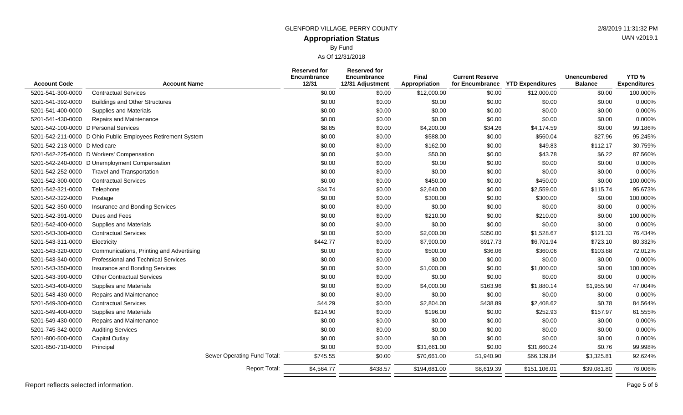## **Appropriation Status** GLENFORD VILLAGE, PERRY COUNTY 2/8/2019 11:31:32 PM

By Fund

As Of 12/31/2018

| <b>Account Code</b>                   | <b>Account Name</b>                                         | <b>Reserved for</b><br>Encumbrance<br>12/31 | <b>Reserved for</b><br>Encumbrance<br>12/31 Adjustment | <b>Final</b><br>Appropriation | <b>Current Reserve</b><br>for Encumbrance | <b>YTD Expenditures</b> | <b>Unencumbered</b><br><b>Balance</b> | YTD <sub>%</sub><br><b>Expenditures</b> |
|---------------------------------------|-------------------------------------------------------------|---------------------------------------------|--------------------------------------------------------|-------------------------------|-------------------------------------------|-------------------------|---------------------------------------|-----------------------------------------|
| 5201-541-300-0000                     | <b>Contractual Services</b>                                 | \$0.00                                      | \$0.00                                                 | \$12,000.00                   | \$0.00                                    | \$12,000.00             | \$0.00                                | 100.000%                                |
| 5201-541-392-0000                     | <b>Buildings and Other Structures</b>                       | \$0.00                                      | \$0.00                                                 | \$0.00                        | \$0.00                                    | \$0.00                  | \$0.00                                | 0.000%                                  |
| 5201-541-400-0000                     | <b>Supplies and Materials</b>                               | \$0.00                                      | \$0.00                                                 | \$0.00                        | \$0.00                                    | \$0.00                  | \$0.00                                | 0.000%                                  |
| 5201-541-430-0000                     | Repairs and Maintenance                                     | \$0.00                                      | \$0.00                                                 | \$0.00                        | \$0.00                                    | \$0.00                  | \$0.00                                | 0.000%                                  |
| 5201-542-100-0000 D Personal Services |                                                             | \$8.85                                      | \$0.00                                                 | \$4,200.00                    | \$34.26                                   | \$4,174.59              | \$0.00                                | 99.186%                                 |
|                                       | 5201-542-211-0000 D Ohio Public Employees Retirement System | \$0.00                                      | \$0.00                                                 | \$588.00                      | \$0.00                                    | \$560.04                | \$27.96                               | 95.245%                                 |
| 5201-542-213-0000 D Medicare          |                                                             | \$0.00                                      | \$0.00                                                 | \$162.00                      | \$0.00                                    | \$49.83                 | \$112.17                              | 30.759%                                 |
|                                       | 5201-542-225-0000 D Workers' Compensation                   | \$0.00                                      | \$0.00                                                 | \$50.00                       | \$0.00                                    | \$43.78                 | \$6.22                                | 87.560%                                 |
|                                       | 5201-542-240-0000 D Unemployment Compensation               | \$0.00                                      | \$0.00                                                 | \$0.00                        | \$0.00                                    | \$0.00                  | \$0.00                                | 0.000%                                  |
| 5201-542-252-0000                     | <b>Travel and Transportation</b>                            | \$0.00                                      | \$0.00                                                 | \$0.00                        | \$0.00                                    | \$0.00                  | \$0.00                                | 0.000%                                  |
| 5201-542-300-0000                     | <b>Contractual Services</b>                                 | \$0.00                                      | \$0.00                                                 | \$450.00                      | \$0.00                                    | \$450.00                | \$0.00                                | 100.000%                                |
| 5201-542-321-0000                     | Telephone                                                   | \$34.74                                     | \$0.00                                                 | \$2,640.00                    | \$0.00                                    | \$2,559.00              | \$115.74                              | 95.673%                                 |
| 5201-542-322-0000                     | Postage                                                     | \$0.00                                      | \$0.00                                                 | \$300.00                      | \$0.00                                    | \$300.00                | \$0.00                                | 100.000%                                |
| 5201-542-350-0000                     | Insurance and Bonding Services                              | \$0.00                                      | \$0.00                                                 | \$0.00                        | \$0.00                                    | \$0.00                  | \$0.00                                | 0.000%                                  |
| 5201-542-391-0000                     | Dues and Fees                                               | \$0.00                                      | \$0.00                                                 | \$210.00                      | \$0.00                                    | \$210.00                | \$0.00                                | 100.000%                                |
| 5201-542-400-0000                     | <b>Supplies and Materials</b>                               | \$0.00                                      | \$0.00                                                 | \$0.00                        | \$0.00                                    | \$0.00                  | \$0.00                                | 0.000%                                  |
| 5201-543-300-0000                     | <b>Contractual Services</b>                                 | \$0.00                                      | \$0.00                                                 | \$2,000.00                    | \$350.00                                  | \$1,528.67              | \$121.33                              | 76.434%                                 |
| 5201-543-311-0000                     | Electricity                                                 | \$442.77                                    | \$0.00                                                 | \$7,900.00                    | \$917.73                                  | \$6,701.94              | \$723.10                              | 80.332%                                 |
| 5201-543-320-0000                     | Communications, Printing and Advertising                    | \$0.00                                      | \$0.00                                                 | \$500.00                      | \$36.06                                   | \$360.06                | \$103.88                              | 72.012%                                 |
| 5201-543-340-0000                     | Professional and Technical Services                         | \$0.00                                      | \$0.00                                                 | \$0.00                        | \$0.00                                    | \$0.00                  | \$0.00                                | 0.000%                                  |
| 5201-543-350-0000                     | Insurance and Bonding Services                              | \$0.00                                      | \$0.00                                                 | \$1,000.00                    | \$0.00                                    | \$1,000.00              | \$0.00                                | 100.000%                                |
| 5201-543-390-0000                     | <b>Other Contractual Services</b>                           | \$0.00                                      | \$0.00                                                 | \$0.00                        | \$0.00                                    | \$0.00                  | \$0.00                                | 0.000%                                  |
| 5201-543-400-0000                     | <b>Supplies and Materials</b>                               | \$0.00                                      | \$0.00                                                 | \$4,000.00                    | \$163.96                                  | \$1,880.14              | \$1,955.90                            | 47.004%                                 |
| 5201-543-430-0000                     | Repairs and Maintenance                                     | \$0.00                                      | \$0.00                                                 | \$0.00                        | \$0.00                                    | \$0.00                  | \$0.00                                | 0.000%                                  |
| 5201-549-300-0000                     | <b>Contractual Services</b>                                 | \$44.29                                     | \$0.00                                                 | \$2,804.00                    | \$438.89                                  | \$2,408.62              | \$0.78                                | 84.564%                                 |
| 5201-549-400-0000                     | <b>Supplies and Materials</b>                               | \$214.90                                    | \$0.00                                                 | \$196.00                      | \$0.00                                    | \$252.93                | \$157.97                              | 61.555%                                 |
| 5201-549-430-0000                     | Repairs and Maintenance                                     | \$0.00                                      | \$0.00                                                 | \$0.00                        | \$0.00                                    | \$0.00                  | \$0.00                                | 0.000%                                  |
| 5201-745-342-0000                     | <b>Auditing Services</b>                                    | \$0.00                                      | \$0.00                                                 | \$0.00                        | \$0.00                                    | \$0.00                  | \$0.00                                | 0.000%                                  |
| 5201-800-500-0000                     | Capital Outlay                                              | \$0.00                                      | \$0.00                                                 | \$0.00                        | \$0.00                                    | \$0.00                  | \$0.00                                | 0.000%                                  |
| 5201-850-710-0000                     | Principal                                                   | \$0.00                                      | \$0.00                                                 | \$31,661.00                   | \$0.00                                    | \$31,660.24             | \$0.76                                | 99.998%                                 |
|                                       | Sewer Operating Fund Total:                                 | \$745.55                                    | \$0.00                                                 | \$70,661.00                   | \$1,940.90                                | \$66,139.84             | \$3,325.81                            | 92.624%                                 |
|                                       | <b>Report Total:</b>                                        | \$4,564.77                                  | \$438.57                                               | \$194,681.00                  | \$8,619.39                                | \$151,106.01            | \$39,081.80                           | 76.006%                                 |

UAN v2019.1